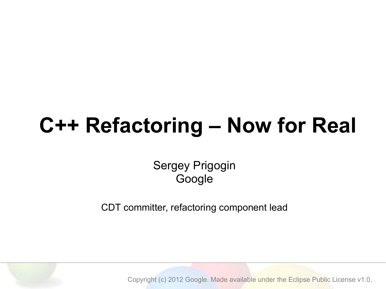### **C++ Refactoring – Now for Real**

#### Sergey Prigogin Google

CDT committer, refactoring component lead

Copyright (c) 2012 Google. Made available under the Eclipse Public License v1.0.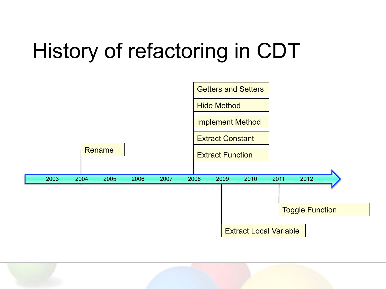# History of refactoring in CDT



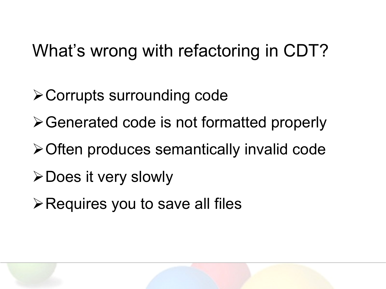### What's wrong with refactoring in CDT?

- $\triangleright$  Corrupts surrounding code
- $\triangleright$  Generated code is not formatted properly
- $\triangleright$  Often produces semantically invalid code
- **≻Does it very slowly**
- $\triangleright$  Requires you to save all files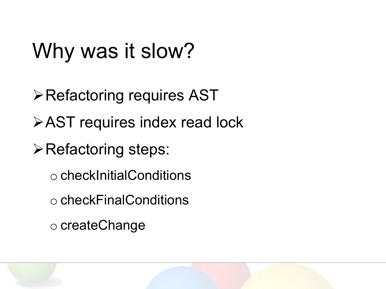### Why was it slow?

- $\triangleright$  Refactoring requires AST
- **≻AST requires index read lock**
- **≻Refactoring steps:** 
	- o checkInitialConditions
	- o checkFinalConditions
	- o createChange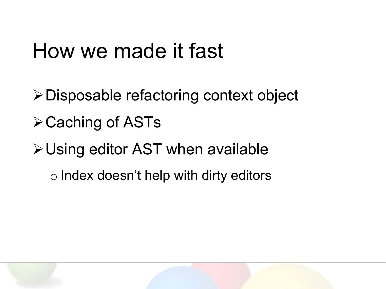### How we made it fast

- !Disposable refactoring context object
- $\triangle$  Caching of ASTs
- $\triangleright$  Using editor AST when available
	- o Index doesn't help with dirty editors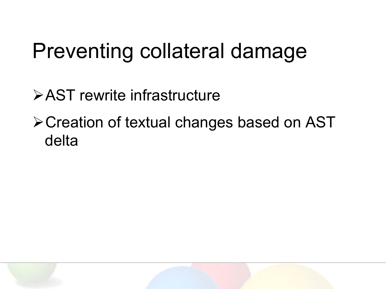### Preventing collateral damage

!AST rewrite infrastructure

**≻Creation of textual changes based on AST** delta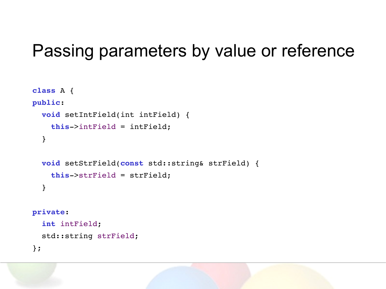### Passing parameters by value or reference

```
class A {
public:
   void setIntField(int intField) {
     this->intField = intField;
   }
   void setStrField(const std::string& strField) {
     this->strField = strField;
   }
private:
   int intField;
   std::string strField;
};
```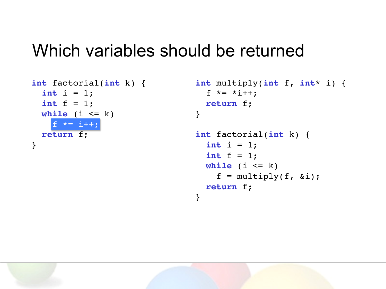#### Which variables should be returned

```
int factorial(int k) {
  int i = 1;
   int f = 1;
  while (i \leq k)f \leftarrow i++; return f;
}
```

```
int multiply(int f, int* i) {
   f *= *i++;
   return f;
}
int factorial(int k) {
```

```
int i = 1;
   int f = 1;
 while (i \leq k)f = multiply(f, \delta i); return f;
}
```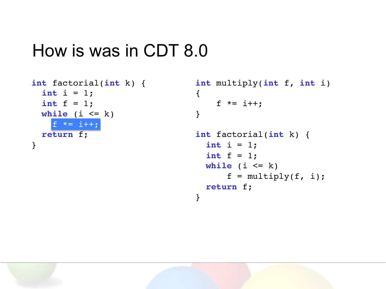### How is was in CDT 8.0

```
int factorial(int k) {
  int i = 1;
   int f = 1;
  while (i \leq k)f \leftarrow i++; return f;
}
```

```
int multiply(int f, int i)
{
     f *= i++;
}
int factorial(int k) {
  int i = 1; int f = 1;
 while (i \le k)f = multiply(f, i); return f;
}
```
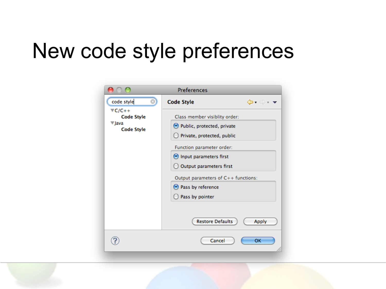### New code style preferences

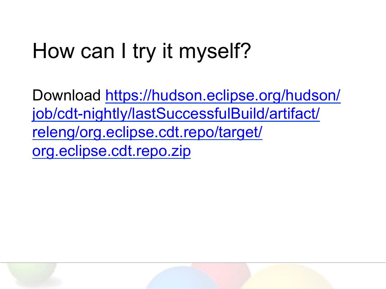# How can I try it myself?

Download https://hudson.eclipse.org/hudson/ job/cdt-nightly/lastSuccessfulBuild/artifact/ releng/org.eclipse.cdt.repo/target/ org.eclipse.cdt.repo.zip